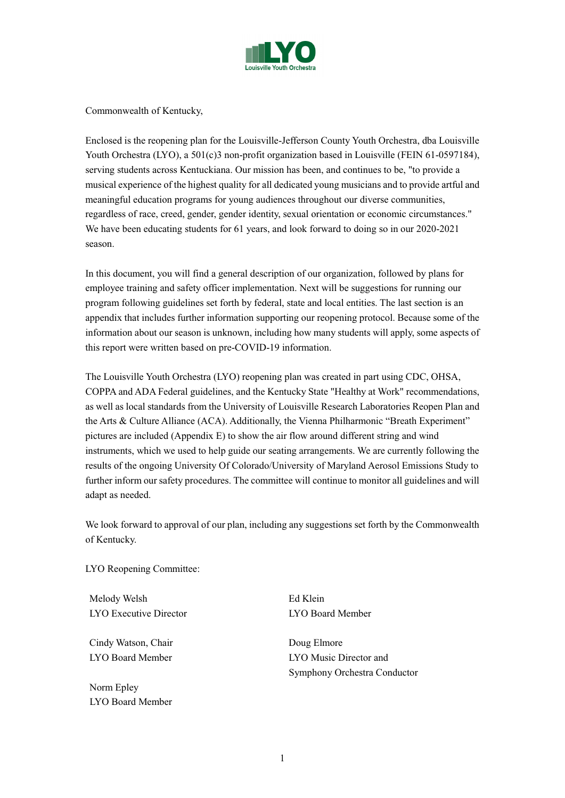

Commonwealth of Kentucky,

Enclosed is the reopening plan for the Louisville-Jefferson County Youth Orchestra, dba Louisville Youth Orchestra (LYO), a 501(c)3 non-profit organization based in Louisville (FEIN 61-0597184), serving students across Kentuckiana. Our mission has been, and continues to be, "to provide a musical experience of the highest quality for all dedicated young musicians and to provide artful and meaningful education programs for young audiences throughout our diverse communities, regardless of race, creed, gender, gender identity, sexual orientation or economic circumstances." We have been educating students for 61 years, and look forward to doing so in our 2020-2021 season.

In this document, you will find a general description of our organization, followed by plans for employee training and safety officer implementation. Next will be suggestions for running our program following guidelines set forth by federal, state and local entities. The last section is an appendix that includes further information supporting our reopening protocol. Because some of the information about our season is unknown, including how many students will apply, some aspects of this report were written based on pre-COVID-19 information.

The Louisville Youth Orchestra (LYO) reopening plan was created in part using CDC, OHSA, COPPA and ADA Federal guidelines, and the Kentucky State "Healthy at Work" recommendations, as well as local standards from the University of Louisville Research Laboratories Reopen Plan and the Arts & Culture Alliance (ACA). Additionally, the Vienna Philharmonic "Breath Experiment" pictures are included (Appendix E) to show the air flow around different string and wind instruments, which we used to help guide our seating arrangements. We are currently following the results of the ongoing University Of Colorado/University of Maryland Aerosol Emissions Study to further inform our safety procedures. The committee will continue to monitor all guidelines and will adapt as needed.

We look forward to approval of our plan, including any suggestions set forth by the Commonwealth of Kentucky.

LYO Reopening Committee:

Melody Welsh Ed Klein LYO Executive Director LYO Board Member

Cindy Watson, Chair **Doug Elmore** 

Norm Epley LYO Board Member

LYO Board Member LYO Music Director and Symphony Orchestra Conductor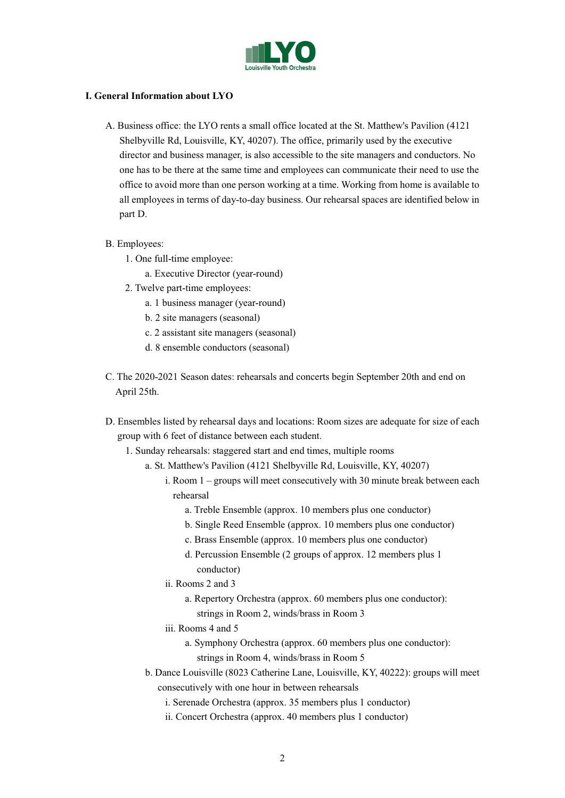

## **I. General Information about LYO**

- A. Business office: the LYO rents a small office located at the St. Matthew's Pavilion (4121 Shelbyville Rd, Louisville, KY, 40207). The office, primarily used by the executive director and business manager, is also accessible to the site managers and conductors. No one has to be there at the same time and employees can communicate their need to use the office to avoid more than one person working at a time. Working from home is available to all employees in terms of day-to-day business. Our rehearsal spaces are identified below in part D.
- B. Employees:
	- 1. One full-time employee:
		- a. Executive Director (year-round)
	- 2. Twelve part-time employees:
		- a. 1 business manager (year-round)
		- b. 2 site managers (seasonal)
		- c. 2 assistant site managers (seasonal)
		- d. 8 ensemble conductors (seasonal)
- C. The 2020-2021 Season dates: rehearsals and concerts begin September 20th and end on April 25th.
- D. Ensembles listed by rehearsal days and locations: Room sizes are adequate for size of each group with 6 feet of distance between each student.
	- 1. Sunday rehearsals: staggered start and end times, multiple rooms
		- a. St. Matthew's Pavilion (4121 Shelbyville Rd, Louisville, KY, 40207)
			- i. Room 1 groups will meet consecutively with 30 minute break between each rehearsal
				- a. Treble Ensemble (approx. 10 members plus one conductor)
				- b. Single Reed Ensemble (approx. 10 members plus one conductor)
				- c. Brass Ensemble (approx. 10 members plus one conductor)
				- d. Percussion Ensemble (2 groups of approx. 12 members plus 1 conductor)
			- ii. Rooms 2 and 3
				- a. Repertory Orchestra (approx. 60 members plus one conductor): strings in Room 2, winds/brass in Room 3
			- iii. Rooms 4 and 5
				- a. Symphony Orchestra (approx. 60 members plus one conductor): strings in Room 4, winds/brass in Room 5
		- b. Dance Louisville (8023 Catherine Lane, Louisville, KY, 40222): groups will meet consecutively with one hour in between rehearsals
			- i. Serenade Orchestra (approx. 35 members plus 1 conductor)
			- ii. Concert Orchestra (approx. 40 members plus 1 conductor)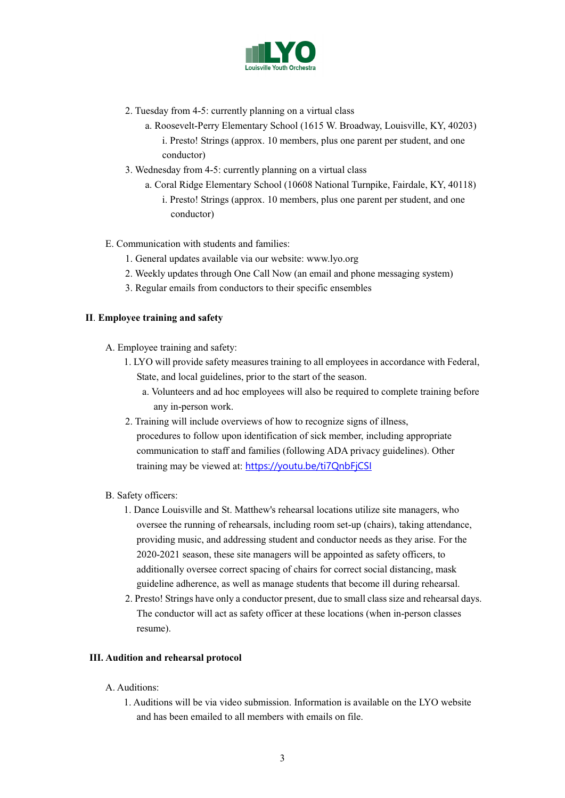

- 2. Tuesday from 4-5: currently planning on a virtual class
	- a. Roosevelt-Perry Elementary School (1615 W. Broadway, Louisville, KY, 40203) i. Presto! Strings (approx. 10 members, plus one parent per student, and one conductor)
- 3. Wednesday from 4-5: currently planning on a virtual class
	- a. Coral Ridge Elementary School (10608 National Turnpike, Fairdale, KY, 40118)
		- i. Presto! Strings (approx. 10 members, plus one parent per student, and one conductor)
- E. Communication with students and families:
	- 1. General updates available via our website: www.lyo.org
	- 2. Weekly updates through One Call Now (an email and phone messaging system)
	- 3. Regular emails from conductors to their specific ensembles

## **II**. **Employee training and safety**

- A. Employee training and safety:
	- 1. LYO will provide safety measures training to all employees in accordance with Federal, State, and local guidelines, prior to the start of the season.
		- a. Volunteers and ad hoc employees will also be required to complete training before any in-person work.
	- 2. Training will include overviews of how to recognize signs of illness, procedures to follow upon identification of sick member, including appropriate communication to staff and families (following ADA privacy guidelines). Other training may be viewed at: [https://youtu.be/ti7QnbFjCSI](https://eur02.safelinks.protection.outlook.com/?url=https%3A%2F%2Fyoutu.be%2Fti7QnbFjCSI&data=02%7C01%7C%7C3db4d78a5b5942e776a208d81d134124%7C84df9e7fe9f640afb435aaaaaaaaaaaa%7C1%7C0%7C637291315813020379&sdata=j8pR%2FmNGCnkmXyJzbrN1k2%2BAYkb79fLwKK4dUDM8d8A%3D&reserved=0)
- B. Safety officers:
	- 1. Dance Louisville and St. Matthew's rehearsal locations utilize site managers, who oversee the running of rehearsals, including room set-up (chairs), taking attendance, providing music, and addressing student and conductor needs as they arise. For the 2020-2021 season, these site managers will be appointed as safety officers, to additionally oversee correct spacing of chairs for correct social distancing, mask guideline adherence, as well as manage students that become ill during rehearsal.
	- 2. Presto! Strings have only a conductor present, due to small class size and rehearsal days. The conductor will act as safety officer at these locations (when in-person classes resume).

## **III. Audition and rehearsal protocol**

- A. Auditions:
	- 1. Auditions will be via video submission. Information is available on the LYO website and has been emailed to all members with emails on file.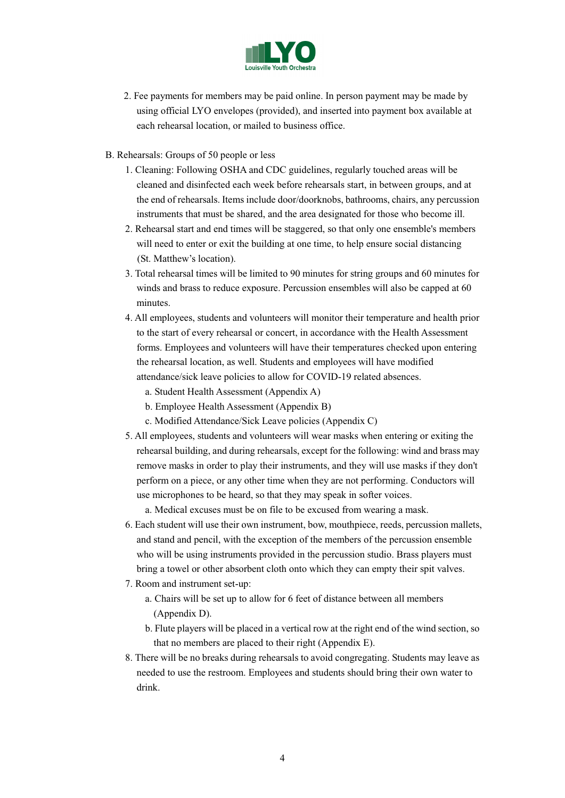

- 2. Fee payments for members may be paid online. In person payment may be made by using official LYO envelopes (provided), and inserted into payment box available at each rehearsal location, or mailed to business office.
- B. Rehearsals: Groups of 50 people or less
	- 1. Cleaning: Following OSHA and CDC guidelines, regularly touched areas will be cleaned and disinfected each week before rehearsals start, in between groups, and at the end of rehearsals. Items include door/doorknobs, bathrooms, chairs, any percussion instruments that must be shared, and the area designated for those who become ill.
	- 2. Rehearsal start and end times will be staggered, so that only one ensemble's members will need to enter or exit the building at one time, to help ensure social distancing (St. Matthew's location).
	- 3. Total rehearsal times will be limited to 90 minutes for string groups and 60 minutes for winds and brass to reduce exposure. Percussion ensembles will also be capped at 60 minutes.
	- 4. All employees, students and volunteers will monitor their temperature and health prior to the start of every rehearsal or concert, in accordance with the Health Assessment forms. Employees and volunteers will have their temperatures checked upon entering the rehearsal location, as well. Students and employees will have modified attendance/sick leave policies to allow for COVID-19 related absences.
		- a. Student Health Assessment (Appendix A)
		- b. Employee Health Assessment (Appendix B)
		- c. Modified Attendance/Sick Leave policies (Appendix C)
	- 5. All employees, students and volunteers will wear masks when entering or exiting the rehearsal building, and during rehearsals, except for the following: wind and brass may remove masks in order to play their instruments, and they will use masks if they don't perform on a piece, or any other time when they are not performing. Conductors will use microphones to be heard, so that they may speak in softer voices.

a. Medical excuses must be on file to be excused from wearing a mask.

- 6. Each student will use their own instrument, bow, mouthpiece, reeds, percussion mallets, and stand and pencil, with the exception of the members of the percussion ensemble who will be using instruments provided in the percussion studio. Brass players must bring a towel or other absorbent cloth onto which they can empty their spit valves.
- 7. Room and instrument set-up:
	- a. Chairs will be set up to allow for 6 feet of distance between all members (Appendix D).
	- b. Flute players will be placed in a vertical row at the right end of the wind section, so that no members are placed to their right (Appendix E).
- 8. There will be no breaks during rehearsals to avoid congregating. Students may leave as needed to use the restroom. Employees and students should bring their own water to drink.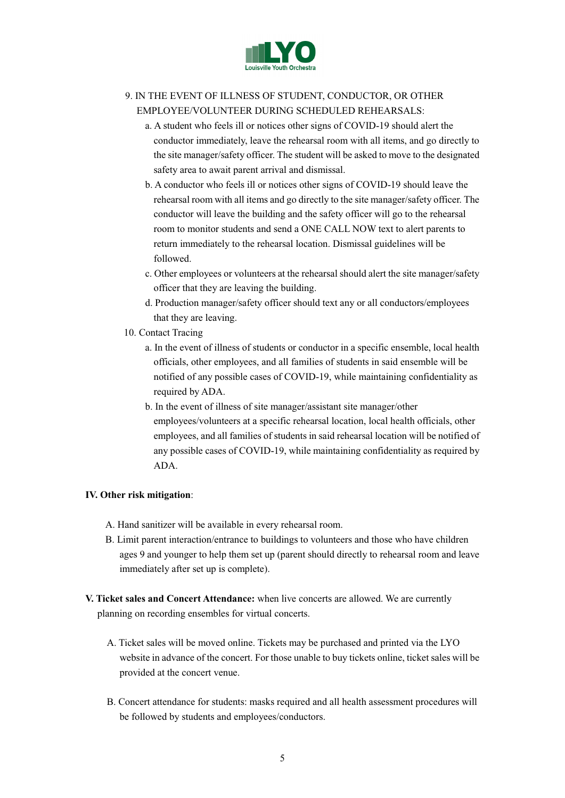

## 9. IN THE EVENT OF ILLNESS OF STUDENT, CONDUCTOR, OR OTHER EMPLOYEE/VOLUNTEER DURING SCHEDULED REHEARSALS:

- a. A student who feels ill or notices other signs of COVID-19 should alert the conductor immediately, leave the rehearsal room with all items, and go directly to the site manager/safety officer. The student will be asked to move to the designated safety area to await parent arrival and dismissal.
- b. A conductor who feels ill or notices other signs of COVID-19 should leave the rehearsal room with all items and go directly to the site manager/safety officer. The conductor will leave the building and the safety officer will go to the rehearsal room to monitor students and send a ONE CALL NOW text to alert parents to return immediately to the rehearsal location. Dismissal guidelines will be followed.
- c. Other employees or volunteers at the rehearsal should alert the site manager/safety officer that they are leaving the building.
- d. Production manager/safety officer should text any or all conductors/employees that they are leaving.
- 10. Contact Tracing
	- a. In the event of illness of students or conductor in a specific ensemble, local health officials, other employees, and all families of students in said ensemble will be notified of any possible cases of COVID-19, while maintaining confidentiality as required by ADA.
	- b. In the event of illness of site manager/assistant site manager/other employees/volunteers at a specific rehearsal location, local health officials, other employees, and all families of students in said rehearsal location will be notified of any possible cases of COVID-19, while maintaining confidentiality as required by ADA.

## **IV. Other risk mitigation**:

- A. Hand sanitizer will be available in every rehearsal room.
- B. Limit parent interaction/entrance to buildings to volunteers and those who have children ages 9 and younger to help them set up (parent should directly to rehearsal room and leave immediately after set up is complete).
- **V. Ticket sales and Concert Attendance:** when live concerts are allowed. We are currently planning on recording ensembles for virtual concerts.
	- A. Ticket sales will be moved online. Tickets may be purchased and printed via the LYO website in advance of the concert. For those unable to buy tickets online, ticket sales will be provided at the concert venue.
	- B. Concert attendance for students: masks required and all health assessment procedures will be followed by students and employees/conductors.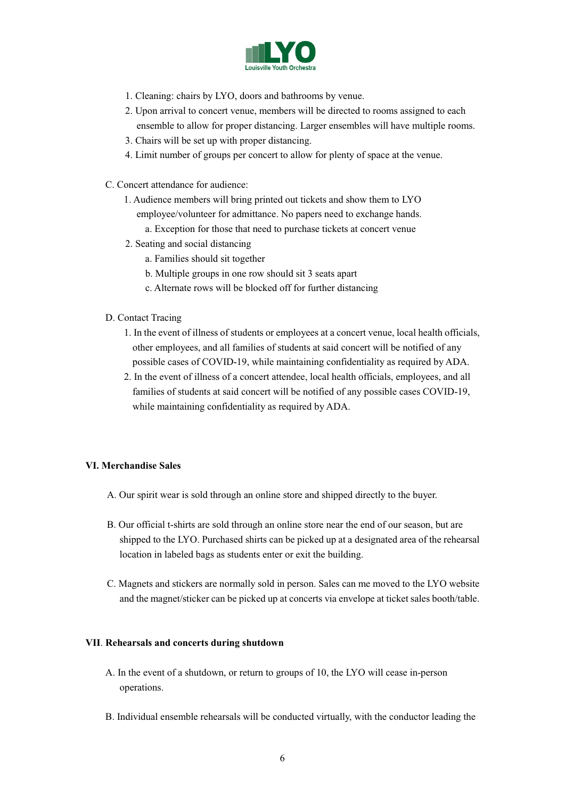

- 1. Cleaning: chairs by LYO, doors and bathrooms by venue.
- 2. Upon arrival to concert venue, members will be directed to rooms assigned to each ensemble to allow for proper distancing. Larger ensembles will have multiple rooms.
- 3. Chairs will be set up with proper distancing.
- 4. Limit number of groups per concert to allow for plenty of space at the venue.
- C. Concert attendance for audience:
	- 1. Audience members will bring printed out tickets and show them to LYO
		- employee/volunteer for admittance. No papers need to exchange hands.
			- a. Exception for those that need to purchase tickets at concert venue
	- 2. Seating and social distancing
		- a. Families should sit together
		- b. Multiple groups in one row should sit 3 seats apart
		- c. Alternate rows will be blocked off for further distancing
- D. Contact Tracing
	- 1. In the event of illness of students or employees at a concert venue, local health officials, other employees, and all families of students at said concert will be notified of any possible cases of COVID-19, while maintaining confidentiality as required by ADA.
	- 2. In the event of illness of a concert attendee, local health officials, employees, and all families of students at said concert will be notified of any possible cases COVID-19, while maintaining confidentiality as required by ADA.

## **VI. Merchandise Sales**

- A. Our spirit wear is sold through an online store and shipped directly to the buyer.
- B. Our official t-shirts are sold through an online store near the end of our season, but are shipped to the LYO. Purchased shirts can be picked up at a designated area of the rehearsal location in labeled bags as students enter or exit the building.
- C. Magnets and stickers are normally sold in person. Sales can me moved to the LYO website and the magnet/sticker can be picked up at concerts via envelope at ticket sales booth/table.

## **VII**. **Rehearsals and concerts during shutdown**

- A. In the event of a shutdown, or return to groups of 10, the LYO will cease in-person operations.
- B. Individual ensemble rehearsals will be conducted virtually, with the conductor leading the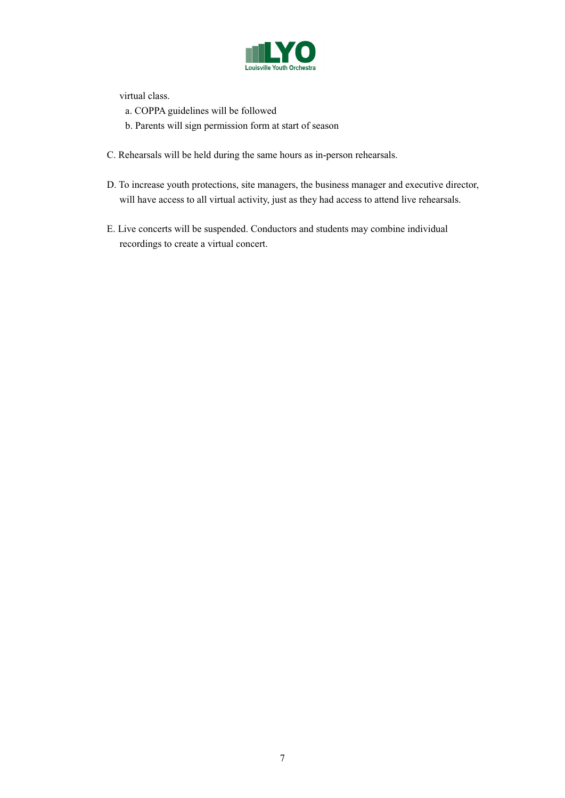

virtual class.

- a. COPPA guidelines will be followed
- b. Parents will sign permission form at start of season
- C. Rehearsals will be held during the same hours as in-person rehearsals.
- D. To increase youth protections, site managers, the business manager and executive director, will have access to all virtual activity, just as they had access to attend live rehearsals.
- E. Live concerts will be suspended. Conductors and students may combine individual recordings to create a virtual concert.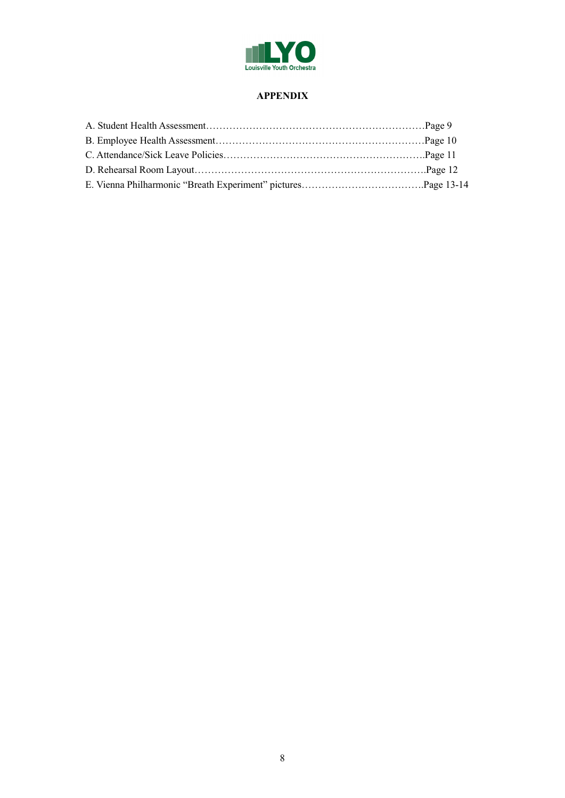

## **APPENDIX**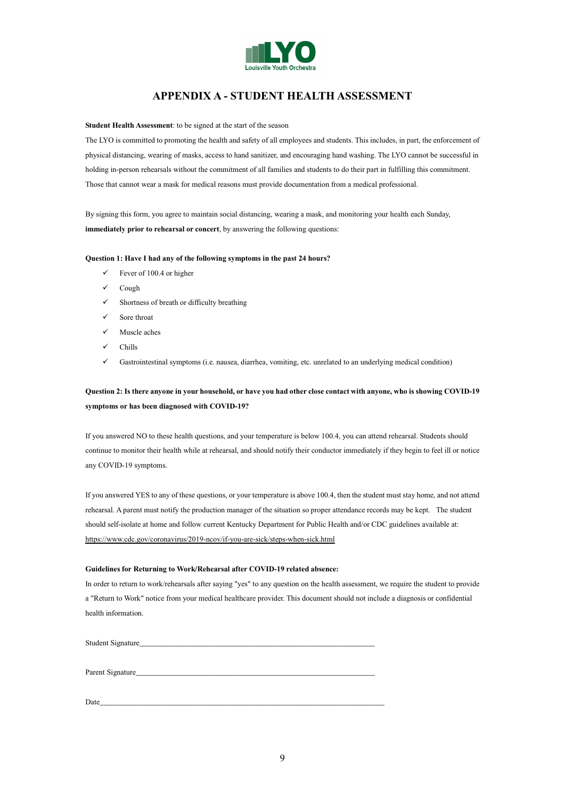

## **APPENDIX A - STUDENT HEALTH ASSESSMENT**

#### **Student Health Assessment**: to be signed at the start of the season

The LYO is committed to promoting the health and safety of all employees and students. This includes, in part, the enforcement of physical distancing, wearing of masks, access to hand sanitizer, and encouraging hand washing. The LYO cannot be successful in holding in-person rehearsals without the commitment of all families and students to do their part in fulfilling this commitment. Those that cannot wear a mask for medical reasons must provide documentation from a medical professional.

By signing this form, you agree to maintain social distancing, wearing a mask, and monitoring your health each Sunday, **immediately prior to rehearsal or concert**, by answering the following questions:

#### **Question 1: Have I had any of the following symptoms in the past 24 hours?**

- $\checkmark$  Fever of 100.4 or higher
- Cough
- $\checkmark$  Shortness of breath or difficulty breathing
- Sore throat
- $\checkmark$  Muscle aches
- Chills
- Gastrointestinal symptoms (i.e. nausea, diarrhea, vomiting, etc. unrelated to an underlying medical condition)

## **Question 2: Is there anyone in your household, or have you had other close contact with anyone, who is showing COVID-19 symptoms or has been diagnosed with COVID-19?**

If you answered NO to these health questions, and your temperature is below 100.4, you can attend rehearsal. Students should continue to monitor their health while at rehearsal, and should notify their conductor immediately if they begin to feel ill or notice any COVID-19 symptoms.

If you answered YES to any of these questions, or your temperature is above 100.4, then the student must stay home, and not attend rehearsal. A parent must notify the production manager of the situation so proper attendance records may be kept. The student should self-isolate at home and follow current Kentucky Department for Public Health and/or CDC guidelines available at: https://www.cdc.gov/coronavirus/2019-ncov/if-you-are-sick/steps-when-sick.html

#### **Guidelines for Returning to Work/Rehearsal after COVID-19 related absence:**

In order to return to work/rehearsals after saying "yes" to any question on the health assessment, we require the student to provide a "Return to Work" notice from your medical healthcare provider. This document should not include a diagnosis or confidential health information.

Student Signature\_\_\_\_\_\_\_\_\_\_\_\_\_\_\_\_\_\_\_\_\_\_\_\_\_\_\_\_\_\_\_\_\_\_\_\_\_\_\_\_\_\_\_\_\_\_\_\_\_\_\_\_\_\_\_\_\_\_\_\_\_\_

Parent Signature

 $Date$   $Date$   $\overline{\phantom{a}}$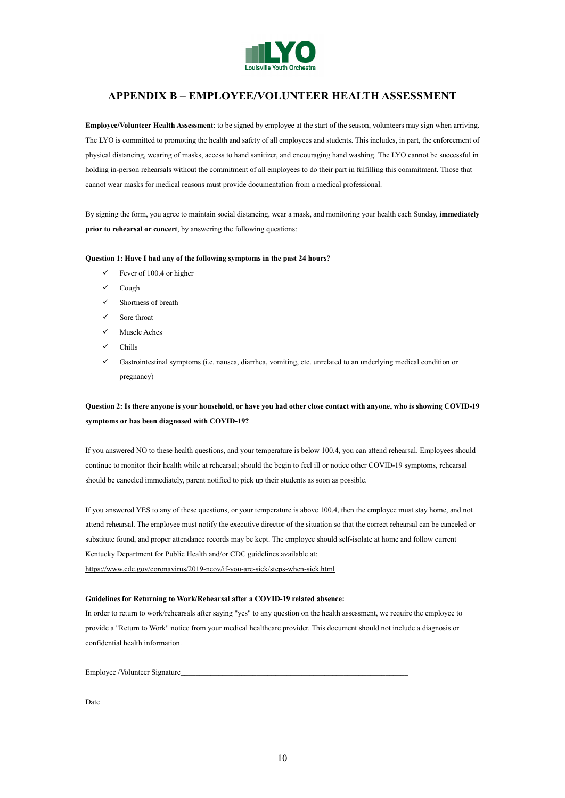

## **APPENDIX B – EMPLOYEE/VOLUNTEER HEALTH ASSESSMENT**

**Employee/Volunteer Health Assessment**: to be signed by employee at the start of the season, volunteers may sign when arriving. The LYO is committed to promoting the health and safety of all employees and students. This includes, in part, the enforcement of physical distancing, wearing of masks, access to hand sanitizer, and encouraging hand washing. The LYO cannot be successful in holding in-person rehearsals without the commitment of all employees to do their part in fulfilling this commitment. Those that cannot wear masks for medical reasons must provide documentation from a medical professional.

By signing the form, you agree to maintain social distancing, wear a mask, and monitoring your health each Sunday, **immediately prior to rehearsal or concert**, by answering the following questions:

#### **Question 1: Have I had any of the following symptoms in the past 24 hours?**

- $\checkmark$  Fever of 100.4 or higher
- Cough
- $\checkmark$  Shortness of breath
- Sore throat
- $\checkmark$  Muscle Aches
- Chills
- Gastrointestinal symptoms (i.e. nausea, diarrhea, vomiting, etc. unrelated to an underlying medical condition or pregnancy)

## **Question 2: Is there anyone is your household, or have you had other close contact with anyone, who is showing COVID-19 symptoms or has been diagnosed with COVID-19?**

If you answered NO to these health questions, and your temperature is below 100.4, you can attend rehearsal. Employees should continue to monitor their health while at rehearsal; should the begin to feel ill or notice other COVID-19 symptoms, rehearsal should be canceled immediately, parent notified to pick up their students as soon as possible.

If you answered YES to any of these questions, or your temperature is above 100.4, then the employee must stay home, and not attend rehearsal. The employee must notify the executive director of the situation so that the correct rehearsal can be canceled or substitute found, and proper attendance records may be kept. The employee should self-isolate at home and follow current Kentucky Department for Public Health and/or CDC guidelines available at:

https://www.cdc.gov/coronavirus/2019-ncov/if-you-are-sick/steps-when-sick.html

#### **Guidelines for Returning to Work/Rehearsal after a COVID-19 related absence:**

In order to return to work/rehearsals after saying "yes" to any question on the health assessment, we require the employee to provide a "Return to Work" notice from your medical healthcare provider. This document should not include a diagnosis or confidential health information.

Employee /Volunteer Signature\_\_\_\_\_\_\_\_\_\_\_\_\_\_\_\_\_\_\_\_\_\_\_\_\_\_\_\_\_\_\_\_\_\_\_\_\_\_\_\_\_\_\_\_\_\_\_\_\_\_\_\_\_\_\_\_\_\_\_\_

 $Date$   $Date$   $\overline{\phantom{a}}$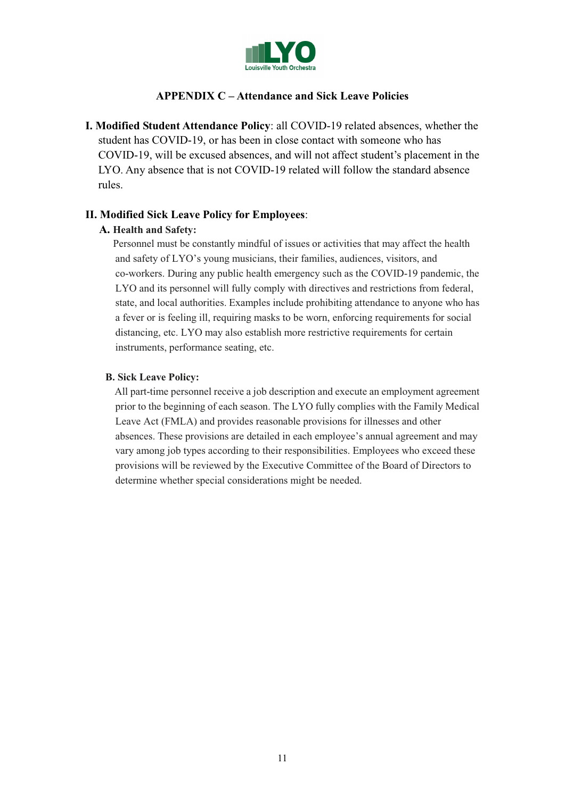

## **APPENDIX C – Attendance and Sick Leave Policies**

**I. Modified Student Attendance Policy**: all COVID-19 related absences, whether the student has COVID-19, or has been in close contact with someone who has COVID-19, will be excused absences, and will not affect student's placement in the LYO. Any absence that is not COVID-19 related will follow the standard absence rules.

## **II. Modified Sick Leave Policy for Employees**:

## **A. Health and Safety:**

 Personnel must be constantly mindful of issues or activities that may affect the health and safety of LYO's young musicians, their families, audiences, visitors, and co-workers. During any public health emergency such as the COVID-19 pandemic, the LYO and its personnel will fully comply with directives and restrictions from federal, state, and local authorities. Examples include prohibiting attendance to anyone who has a fever or is feeling ill, requiring masks to be worn, enforcing requirements for social distancing, etc. LYO may also establish more restrictive requirements for certain instruments, performance seating, etc.

## **B. Sick Leave Policy:**

 All part-time personnel receive a job description and execute an employment agreement prior to the beginning of each season. The LYO fully complies with the Family Medical Leave Act (FMLA) and provides reasonable provisions for illnesses and other absences. These provisions are detailed in each employee's annual agreement and may vary among job types according to their responsibilities. Employees who exceed these provisions will be reviewed by the Executive Committee of the Board of Directors to determine whether special considerations might be needed.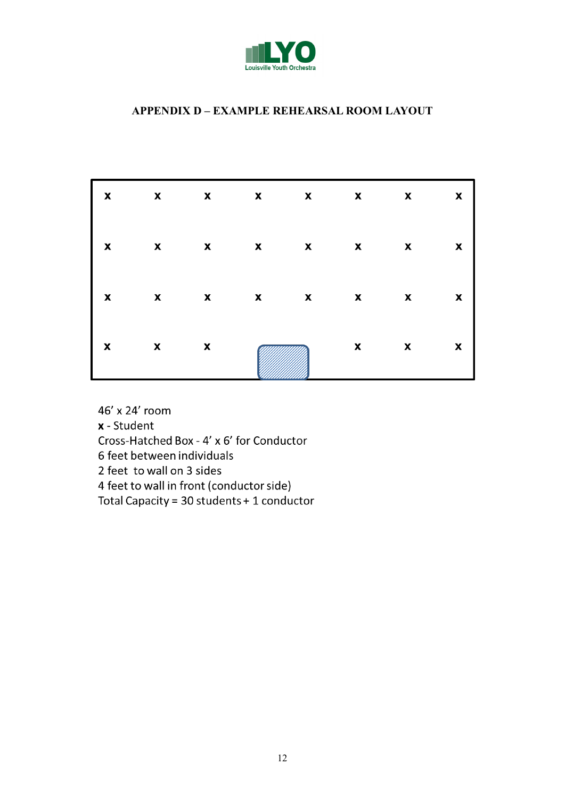

# **APPENDIX D - EXAMPLE REHEARSAL ROOM LAYOUT**

| $X$ x x x x x x x x                 |  |  |                         |              |
|-------------------------------------|--|--|-------------------------|--------------|
| X X X X X X X X X                   |  |  |                         |              |
| $X$ x x x x x x x                   |  |  |                         | $\mathbf{x}$ |
| $\mathbf x$ $\mathbf x$ $\mathbf x$ |  |  | $\mathbf x$ $\mathbf x$ | $\mathbf{x}$ |

46' x 24' room x - Student

Cross-Hatched Box - 4' x 6' for Conductor

6 feet between individuals

2 feet to wall on 3 sides

4 feet to wall in front (conductor side)

Total Capacity = 30 students + 1 conductor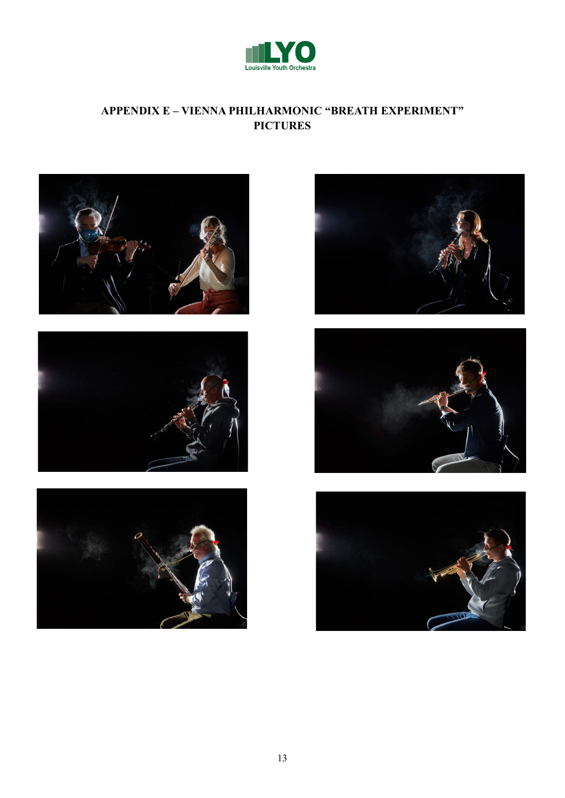

# APPENDIX E - VIENNA PHILHARMONIC "BREATH EXPERIMENT" **PICTURES**